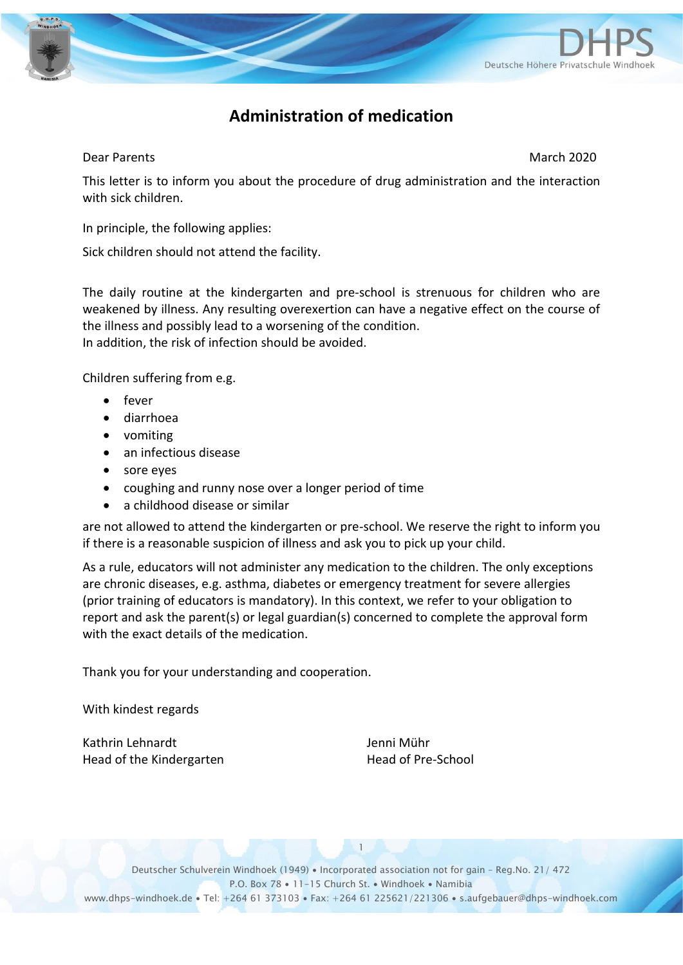

## **Administration of medication**

### **Dear Parents March 2020**

This letter is to inform you about the procedure of drug administration and the interaction with sick children.

In principle, the following applies:

Sick children should not attend the facility.

The daily routine at the kindergarten and pre-school is strenuous for children who are weakened by illness. Any resulting overexertion can have a negative effect on the course of the illness and possibly lead to a worsening of the condition. In addition, the risk of infection should be avoided.

Children suffering from e.g.

- fever
- diarrhoea
- vomiting
- an infectious disease
- sore eyes
- coughing and runny nose over a longer period of time
- a childhood disease or similar

are not allowed to attend the kindergarten or pre-school. We reserve the right to inform you if there is a reasonable suspicion of illness and ask you to pick up your child.

As a rule, educators will not administer any medication to the children. The only exceptions are chronic diseases, e.g. asthma, diabetes or emergency treatment for severe allergies (prior training of educators is mandatory). In this context, we refer to your obligation to report and ask the parent(s) or legal guardian(s) concerned to complete the approval form with the exact details of the medication.

Thank you for your understanding and cooperation.

With kindest regards

Kathrin Lehnardt **Verwalt** Jenni Mühr Head of the Kindergarten Head of Pre-School

1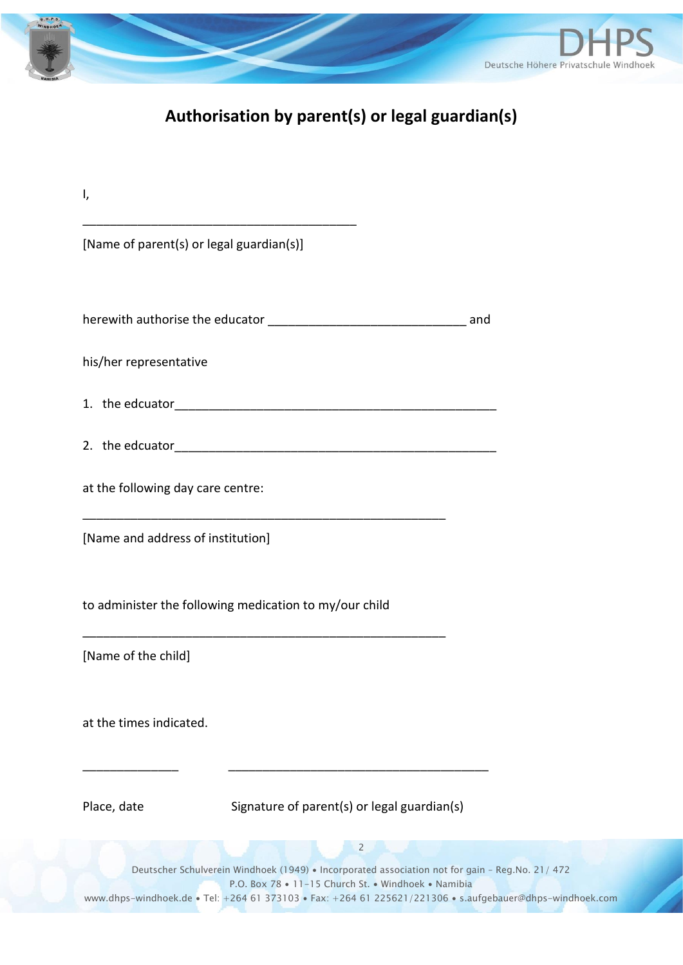

# **Authorisation by parent(s) or legal guardian(s)**

| ۱,                                                                                                                                                                                                                                                                                   |
|--------------------------------------------------------------------------------------------------------------------------------------------------------------------------------------------------------------------------------------------------------------------------------------|
| [Name of parent(s) or legal guardian(s)]                                                                                                                                                                                                                                             |
|                                                                                                                                                                                                                                                                                      |
|                                                                                                                                                                                                                                                                                      |
| his/her representative                                                                                                                                                                                                                                                               |
|                                                                                                                                                                                                                                                                                      |
|                                                                                                                                                                                                                                                                                      |
| at the following day care centre:                                                                                                                                                                                                                                                    |
| [Name and address of institution]                                                                                                                                                                                                                                                    |
| to administer the following medication to my/our child                                                                                                                                                                                                                               |
| [Name of the child]                                                                                                                                                                                                                                                                  |
| at the times indicated.                                                                                                                                                                                                                                                              |
| Place, date<br>Signature of parent(s) or legal guardian(s)                                                                                                                                                                                                                           |
| $\overline{2}$<br>Deutscher Schulverein Windhoek (1949) . Incorporated association not for gain - Reg.No. 21/ 472<br>P.O. Box 78 . 11-15 Church St. . Windhoek . Namibia<br>www.dhps-windhoek.de • Tel: +264 61 373103 • Fax: +264 61 225621/221306 • s.aufgebauer@dhps-windhoek.com |